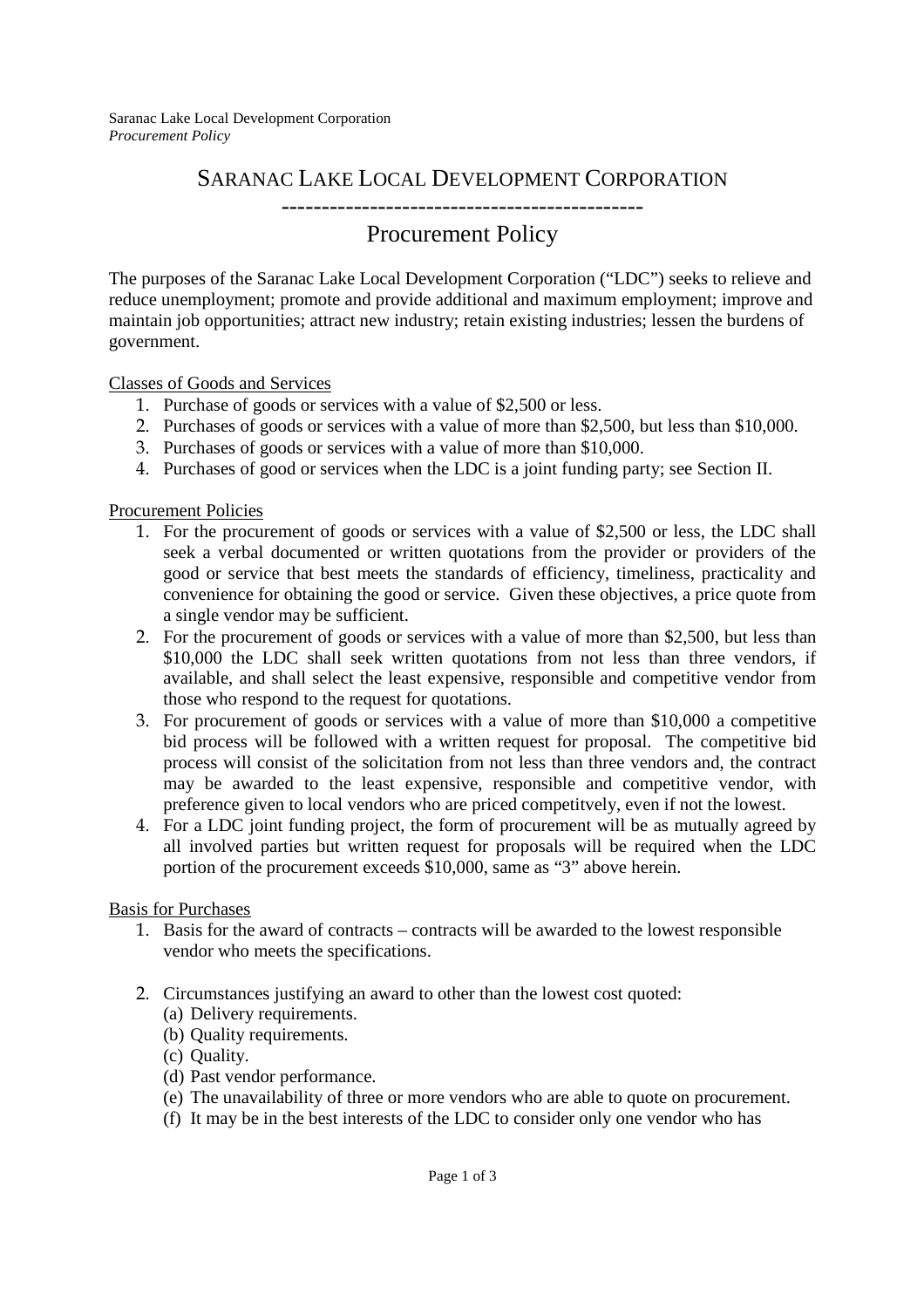Saranac Lake Local Development Corporation *Procurement Policy* 

## SARANAC LAKE LOCAL DEVELOPMENT CORPORATION

---------------------------------------------

## Procurement Policy

The purposes of the Saranac Lake Local Development Corporation ("LDC") seeks to relieve and reduce unemployment; promote and provide additional and maximum employment; improve and maintain job opportunities; attract new industry; retain existing industries; lessen the burdens of government.

Classes of Goods and Services

- 1. Purchase of goods or services with a value of \$2,500 or less.
- 2. Purchases of goods or services with a value of more than \$2,500, but less than \$10,000.
- 3. Purchases of goods or services with a value of more than \$10,000.
- 4. Purchases of good or services when the LDC is a joint funding party; see Section II.

Procurement Policies

- 1. For the procurement of goods or services with a value of \$2,500 or less, the LDC shall seek a verbal documented or written quotations from the provider or providers of the good or service that best meets the standards of efficiency, timeliness, practicality and convenience for obtaining the good or service. Given these objectives, a price quote from a single vendor may be sufficient.
- 2. For the procurement of goods or services with a value of more than \$2,500, but less than \$10,000 the LDC shall seek written quotations from not less than three vendors, if available, and shall select the least expensive, responsible and competitive vendor from those who respond to the request for quotations.
- 3. For procurement of goods or services with a value of more than \$10,000 a competitive bid process will be followed with a written request for proposal. The competitive bid process will consist of the solicitation from not less than three vendors and, the contract may be awarded to the least expensive, responsible and competitive vendor, with preference given to local vendors who are priced competitvely, even if not the lowest.
- 4. For a LDC joint funding project, the form of procurement will be as mutually agreed by all involved parties but written request for proposals will be required when the LDC portion of the procurement exceeds \$10,000, same as "3" above herein.

Basis for Purchases

- 1. Basis for the award of contracts contracts will be awarded to the lowest responsible vendor who meets the specifications.
- 2. Circumstances justifying an award to other than the lowest cost quoted:
	- (a) Delivery requirements.
	- (b) Quality requirements.
	- (c) Quality.
	- (d) Past vendor performance.
	- (e) The unavailability of three or more vendors who are able to quote on procurement.
	- (f) It may be in the best interests of the LDC to consider only one vendor who has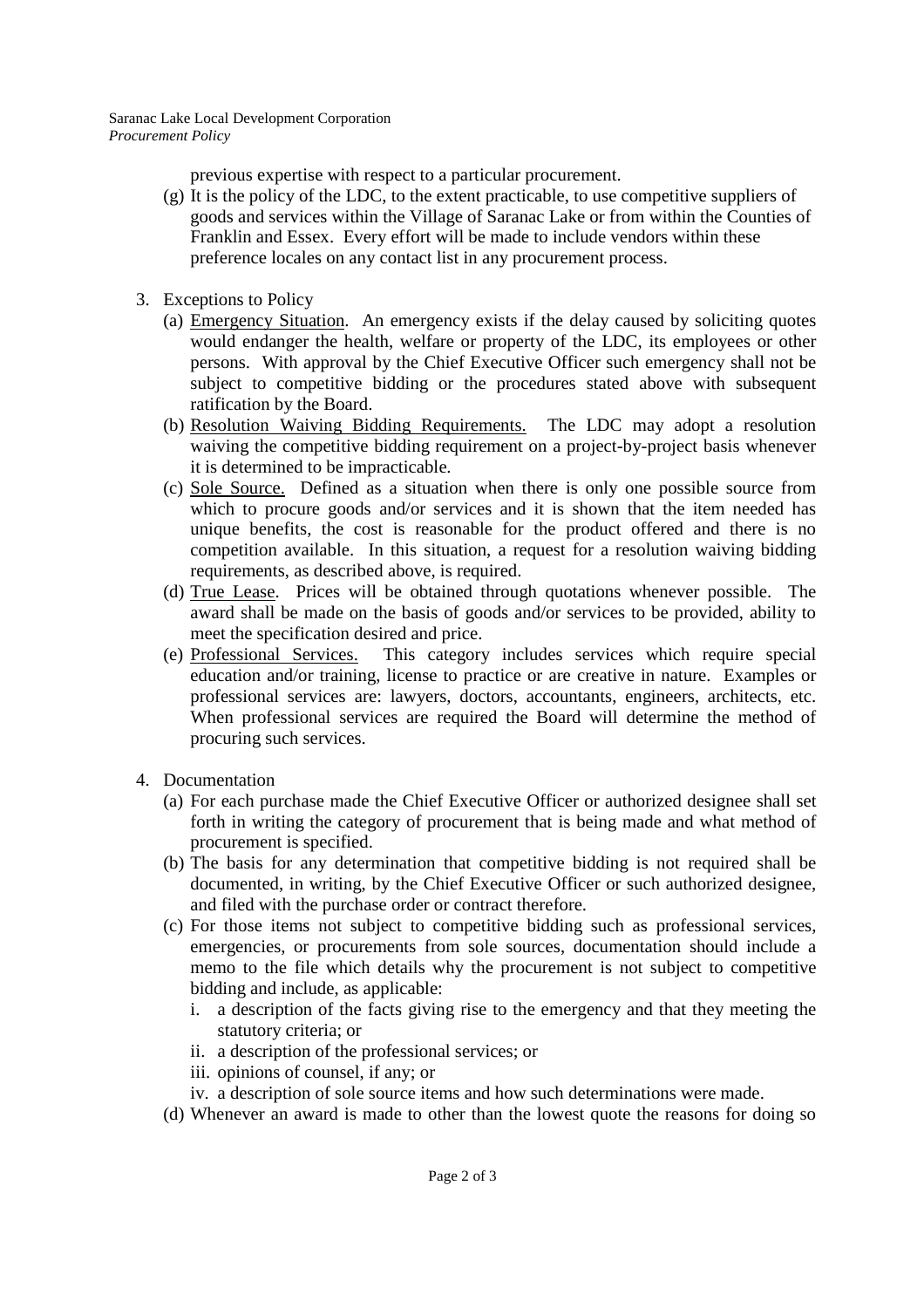Saranac Lake Local Development Corporation *Procurement Policy* 

previous expertise with respect to a particular procurement.

- (g) It is the policy of the LDC, to the extent practicable, to use competitive suppliers of goods and services within the Village of Saranac Lake or from within the Counties of Franklin and Essex. Every effort will be made to include vendors within these preference locales on any contact list in any procurement process.
- 3. Exceptions to Policy
	- (a) Emergency Situation. An emergency exists if the delay caused by soliciting quotes would endanger the health, welfare or property of the LDC, its employees or other persons. With approval by the Chief Executive Officer such emergency shall not be subject to competitive bidding or the procedures stated above with subsequent ratification by the Board.
	- (b) Resolution Waiving Bidding Requirements. The LDC may adopt a resolution waiving the competitive bidding requirement on a project-by-project basis whenever it is determined to be impracticable.
	- (c) Sole Source. Defined as a situation when there is only one possible source from which to procure goods and/or services and it is shown that the item needed has unique benefits, the cost is reasonable for the product offered and there is no competition available. In this situation, a request for a resolution waiving bidding requirements, as described above, is required.
	- (d) True Lease. Prices will be obtained through quotations whenever possible. The award shall be made on the basis of goods and/or services to be provided, ability to meet the specification desired and price.
	- (e) Professional Services. This category includes services which require special education and/or training, license to practice or are creative in nature. Examples or professional services are: lawyers, doctors, accountants, engineers, architects, etc. When professional services are required the Board will determine the method of procuring such services.
- 4. Documentation
	- (a) For each purchase made the Chief Executive Officer or authorized designee shall set forth in writing the category of procurement that is being made and what method of procurement is specified.
	- (b) The basis for any determination that competitive bidding is not required shall be documented, in writing, by the Chief Executive Officer or such authorized designee, and filed with the purchase order or contract therefore.
	- (c) For those items not subject to competitive bidding such as professional services, emergencies, or procurements from sole sources, documentation should include a memo to the file which details why the procurement is not subject to competitive bidding and include, as applicable:
		- i. a description of the facts giving rise to the emergency and that they meeting the statutory criteria; or
		- ii. a description of the professional services; or
		- iii. opinions of counsel, if any; or
		- iv. a description of sole source items and how such determinations were made.
	- (d) Whenever an award is made to other than the lowest quote the reasons for doing so